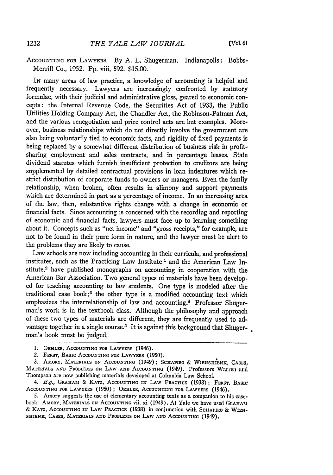ACCOUNTING FOR LAWYERS. By A. L. Shugerman. Indianapolis: Bobbs-Merrill Co., 1952. Pp. viii, 592. **\$15.00.**

IN many areas of law practice, a knowledge of accounting is helpful and frequently necessary. Lawyers are increasingly confronted **by** statutory formulae, with their judicial and administrative gloss, geared to economic concepts: the Internal Revenue Code, the Securities Act of **1933,** the Public Utilities Holding Company Act, the Chandler Act, the Robinson-Patman Act, and the various renegotiation and price control acts are but examples. Moreover, business relationships which do not directly involve the government are also being voluntarily tied to economic facts, and rigidity of fixed payments is being replaced **by** a somewhat different distribution of business risk in profitsharing employment and sales contracts, and in percentage leases. State dividend statutes which furnish insufficient protection to creditors are being supplemented **by** detailed contractual provisions in loan indentures which restrict distribution of corporate funds to owners or managers. Even the family relationship, when broken, often results in alimony and support payments which are determined in part as a percentage of income. In an increasing area of the law, then, substantive rights change with a change in economic or financial facts. Since accounting is concerned with the recording and reporting **of** economic and financial facts, lawyers must face up to learning something about it. Concepts such as "net income" and "gross receipts," for example, are not to be found in their pure form in nature, and the lawyer must be alert to the problems they are likely to cause.

Law schools are now including accounting in their curricula, and professional institutes, such as the Practicing Law Institute<sup>1</sup> and the American Law Institute,<sup>2</sup> have published monographs on accounting in cooperation with the American Bar Association. Two general types of materials have been developed for teaching accounting to law students. One type is modeled after the traditional case book **;8** the other type is a modified accounting text which emphasizes the interrelationship of law and accounting.<sup>4</sup> Professor Shugerman's work is in the textbook class. Although the philosophy and approach of these two types **of** materials are different, they are frequently used to advantage together in a single course.<sup>5</sup> It is against this background that Shugerman's book must be judged.

**<sup>1.</sup> OEHLER, ACCOUNTING FOR LAWYERS** (1946).

<sup>2.</sup> **FERsT, BASIC ACCOUNTING FOR LAWYERS (1950).**

**<sup>3.</sup>** AMORY, MATERIALS **ON ACCOUNTING** (1949); **SCHAPIRO & WIENSIIIENE, CASES, MATERIALS AND** PROBLEMS **ON LAW AND** ACCOUNTING (1949). Professors Warren **and** Thompson are now publishing materials developed at Columbia Law School.

*<sup>4.</sup> E.g.,* GRAHAM **& KATZ, ACCOUNTING IN LAW PRACTICE (1938); FERST,** BASIC ACCOUNTING FOR LAWYERS (1950); OEHLER, **ACCOUNTING** FOR **LAWYERS** (1946).

**<sup>5.</sup>** Amory suggests the use of elementary accounting texts as a companion to his casebook. A MORY, MATERIALS **ON** ACCOUNTING vii, xi (1949). At Yale **we** have used GRAUAM  $\&$  KATZ, ACCOUNTING IN LAW PRACTICE (1938) in conjunction with SCHAPIRO  $\&$  WIEN-**SHIENK, CASES, MATERIALS AND** PROBLEMS **ON** LAW **AND ACCOUNTING** (1949).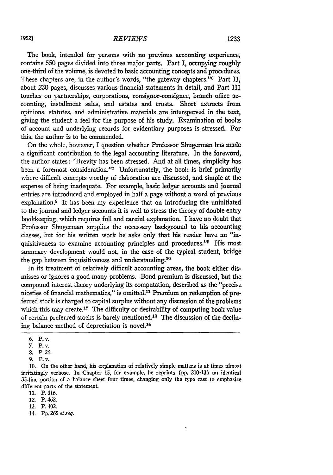The book, intended for persons with no previous accounting experience, contains **550** pages divided into three major parts. Part I, occupying roughly one-third of the volume, is devoted to basic accounting concepts and procedures. These chapters are, in the author's words, "the gateway chapters."<sup>0</sup> Part II, about **230** pages, discusses various financial statements in detail, and Part III touches on partnerships, corporations, consignor-consignee, branch office accounting, installment sales, and estates and trusts. Short extracts from opinions, statutes, and administrative materials are interspersed in the text, giving the student a feel for the purpose of his study. Examination of books of account and underlying records for evidentiary purposes is stressed. For this, the author is to be commended.

On the whole, however, I question whether Professor Shugerman has made a significant contribution to the legal accounting literature. In the foreword, the author states: "Brevity has been stressed. And at all times, simplicity has been a foremost consideration."7 Unfortunately, the book is brief primarily where difficult concepts worthy of elaboration are discussed, and simple at the expense of being inadequate. For example, basic ledger accounts and journal entries are introduced and employed in half a page without a word of previous explanation.8 It has been my experience that on introducing the uninitiated to the journal and ledger accounts it is well to stress the theory of double entry bookkeeping, which requires full and careful explanation. I have no doubt that Professor Shugerman supplies the necessary background to his accounting classes, but for his written work he asks only that his reader have an "inquisitiveness to examine accounting principles and procedures."<sup>9</sup> His most summary development would not, in the case of the typical student, bridge the gap between inquisitiveness and understanding.<sup>10</sup>

In its treatment of relatively difficult accounting areas, the book either dismisses or ignores a good many problems. Bond premium is discussed, but the compound interest theory underlying its computation, described as the "precise niceties of financial mathematics," is omitted.<sup>11</sup> Premium on redemption of preferred stock is charged to capital surplus without any discussion of the problems which this may create.<sup>12</sup> The difficulty or desirability of computing book value of certain preferred stocks is barely mentioned.13 The discussion of the declining balance method of depreciation is novel.<sup>14</sup>

9. P.v.

- **11.** P. **316.**
- 12. P. 462.
- 13. P. 402.
- 14. **Pp.** *265 et seq.*

<sup>6.</sup> P.v.

<sup>7.</sup> P.v.

<sup>8.</sup> P.26.

**<sup>10.</sup>** On the other hand, his explanation of relatively simple matters is at times almost irritatingly verbose. In Chapter 15, for example, he reprints (pp. 210-13) an identical 35-line portion of a balance sheet four times, changing only the type cast to emphasize different parts of the statement.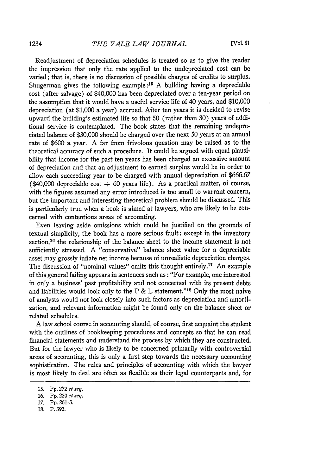ï

Readjustment of depreciation schedules is treated so as to give the reader the impression that only the rate applied to the undepreciated cost can be varied; that is, there is no discussion of possible charges of credits to surplus. Shugerman gives the following example:<sup>15</sup> A building having a depreciable cost (after salvage) of \$40,000 has been depreciated over a ten-year period on the assumption that it would have a useful service life of 40 years, and \$10,000 depreciation (at \$1,000 a year) accrued. After ten years it is decided to revise upward the building's estimated life so that 50 (rather than 30) years of additional service is contemplated. The book states that the remaining undepreciated balance of \$30,000 should be charged over the next 50 years at an annual rate of \$600 a year. A far from frivolous question may be raised as to the theoretical accuracy of such a procedure. It could be argued with equal plausibility that income for the past ten years has been charged an excessive amount of depreciation and that an adjustment to earned surplus would be in order to allow each succeeding year to be charged with annual depreciation of \$666.67 ( $$40,000$  depreciable cost  $\div$  60 years life). As a practical matter, of course, with the figures assumed any error introduced is too small to warrant concern, but the important and interesting theoretical problem should be discussed. This is particularly true when a book is aimed at lawyers, who are likely to be concerned with contentious areas of accounting.

Even leaving aside omissions which could be justified on the grounds of textual simplicity, the book has a more serious fault: except in the inventory section,<sup>16</sup> the relationship of the balance sheet to the income statement is not sufficiently stressed. A "conservative" balance sheet value for a depreciable asset may grossly inflate net income because of unrealistic depreciation charges. The discussion of "nominal values" omits this thought entirely.<sup>17</sup> An example of this general failing appears in sentences such as: "For example, one interested in only a business' past profitability and not concerned with its present debts and liabilities would look only to the P & L statement."<sup>18</sup> Only the most naive of analysts would not look closely into such factors as depreciation and amortization, and relevant information might be found only on the balance sheet or related schedules.

A law school course in accounting should, of course, first acquaint the student with the outlines of bookkeeping procedures and concepts so that he can read financial statements and understand the process **by** which they are constructed. But for the lawyer who is likely to be concerned primarily with controversial areas of accounting, this is only a first step towards the necessary accounting sophistication. The rules and principles of accounting with which the lawyer is most likely to deal are often as flexible as their legal counterparts and, for

**<sup>15.</sup> Pp. 272** *et seq.*

<sup>16.</sup> Pp. 230 *et seq.*

<sup>17.</sup> Pp. 261-3.

<sup>18.</sup> P. 393.